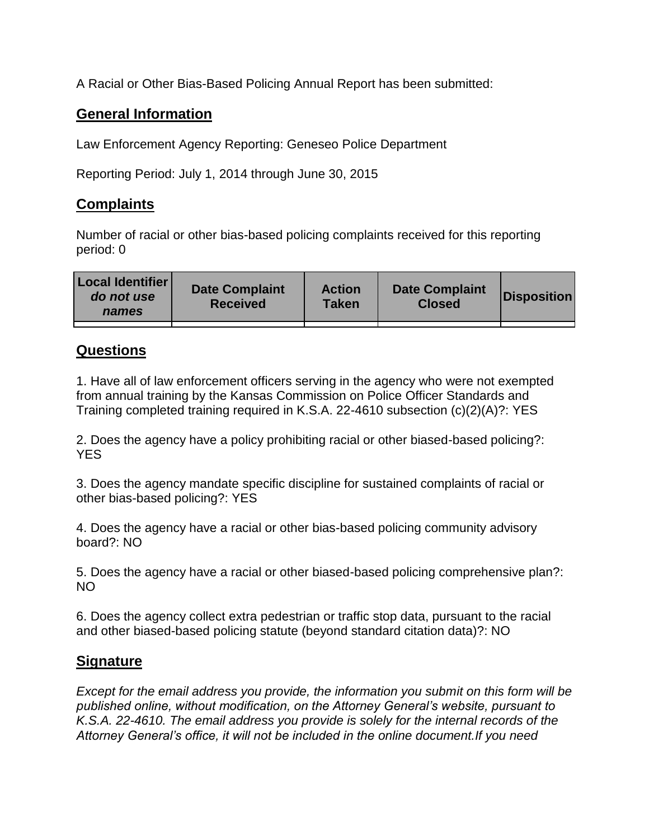A Racial or Other Bias-Based Policing Annual Report has been submitted:

## **General Information**

Law Enforcement Agency Reporting: Geneseo Police Department

Reporting Period: July 1, 2014 through June 30, 2015

## **Complaints**

Number of racial or other bias-based policing complaints received for this reporting period: 0

| <b>Local Identifier</b><br>do not use<br>names | <b>Date Complaint</b><br><b>Received</b> | <b>Action</b><br><b>Taken</b> | <b>Date Complaint</b><br><b>Closed</b> | Disposition |
|------------------------------------------------|------------------------------------------|-------------------------------|----------------------------------------|-------------|
|                                                |                                          |                               |                                        |             |

## **Questions**

1. Have all of law enforcement officers serving in the agency who were not exempted from annual training by the Kansas Commission on Police Officer Standards and Training completed training required in K.S.A. 22-4610 subsection (c)(2)(A)?: YES

2. Does the agency have a policy prohibiting racial or other biased-based policing?: YES

3. Does the agency mandate specific discipline for sustained complaints of racial or other bias-based policing?: YES

4. Does the agency have a racial or other bias-based policing community advisory board?: NO

5. Does the agency have a racial or other biased-based policing comprehensive plan?: NO

6. Does the agency collect extra pedestrian or traffic stop data, pursuant to the racial and other biased-based policing statute (beyond standard citation data)?: NO

## **Signature**

*Except for the email address you provide, the information you submit on this form will be published online, without modification, on the Attorney General's website, pursuant to K.S.A. 22-4610. The email address you provide is solely for the internal records of the Attorney General's office, it will not be included in the online document.If you need*